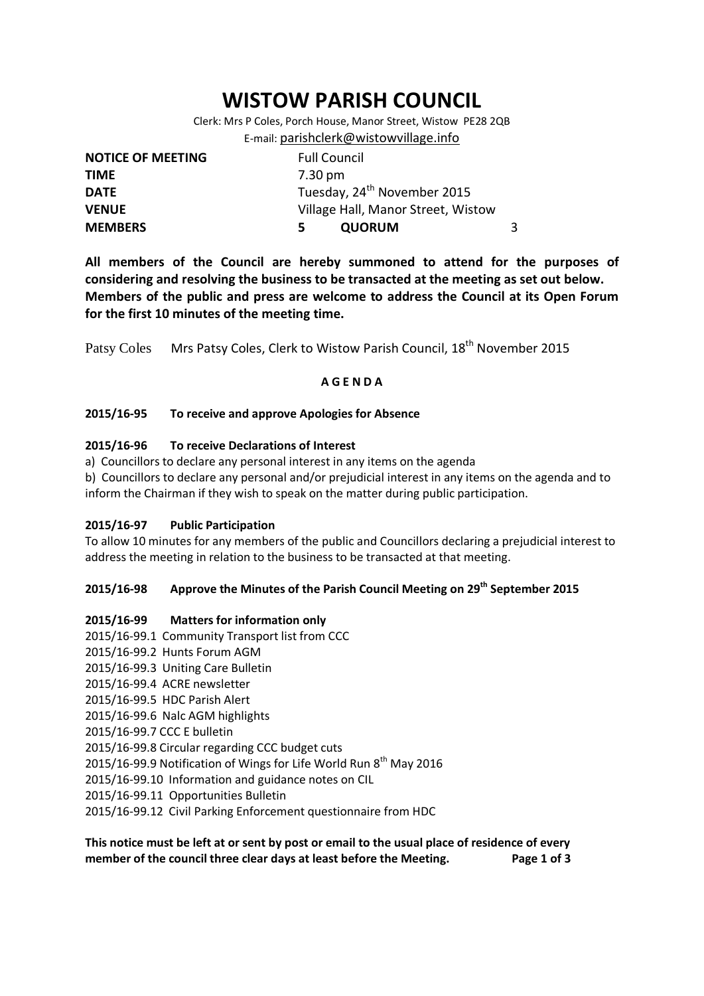# **WISTOW PARISH COUNCIL**

Clerk: Mrs P Coles, Porch House, Manor Street, Wistow PE28 2QB E-mail: [parishclerk@wistowvillage.info](mailto:parishclerk@wistowvillage.info)

| <b>NOTICE OF MEETING</b> | <b>Full Council</b>                     |   |
|--------------------------|-----------------------------------------|---|
| <b>TIME</b>              | 7.30 pm                                 |   |
| <b>DATE</b>              | Tuesday, 24 <sup>th</sup> November 2015 |   |
| <b>VENUE</b>             | Village Hall, Manor Street, Wistow      |   |
| <b>MEMBERS</b>           | <b>QUORUM</b><br>5.                     | 3 |

**All members of the Council are hereby summoned to attend for the purposes of considering and resolving the business to be transacted at the meeting as set out below. Members of the public and press are welcome to address the Council at its Open Forum for the first 10 minutes of the meeting time.**

Patsy Coles Mrs Patsy Coles, Clerk to Wistow Parish Council, 18<sup>th</sup> November 2015

#### **A G E N D A**

#### **2015/16-95 To receive and approve Apologies for Absence**

## **2015/16-96 To receive Declarations of Interest**

a) Councillors to declare any personal interest in any items on the agenda

b) Councillors to declare any personal and/or prejudicial interest in any items on the agenda and to inform the Chairman if they wish to speak on the matter during public participation.

#### **2015/16-97 Public Participation**

To allow 10 minutes for any members of the public and Councillors declaring a prejudicial interest to address the meeting in relation to the business to be transacted at that meeting.

# **2015/16-98 Approve the Minutes of the Parish Council Meeting on 29th September 2015**

#### **2015/16-99 Matters for information only**

- 2015/16-99.1 Community Transport list from CCC
- 2015/16-99.2 Hunts Forum AGM
- 2015/16-99.3 Uniting Care Bulletin
- 2015/16-99.4 ACRE newsletter
- 2015/16-99.5 HDC Parish Alert
- 2015/16-99.6 Nalc AGM highlights
- 2015/16-99.7 CCC E bulletin
- 2015/16-99.8 Circular regarding CCC budget cuts
- 2015/16-99.9 Notification of Wings for Life World Run  $8<sup>th</sup>$  May 2016
- 2015/16-99.10 Information and guidance notes on CIL
- 2015/16-99.11 Opportunities Bulletin
- 2015/16-99.12 Civil Parking Enforcement questionnaire from HDC

**This notice must be left at or sent by post or email to the usual place of residence of every member of the council three clear days at least before the Meeting. Page 1 of 3**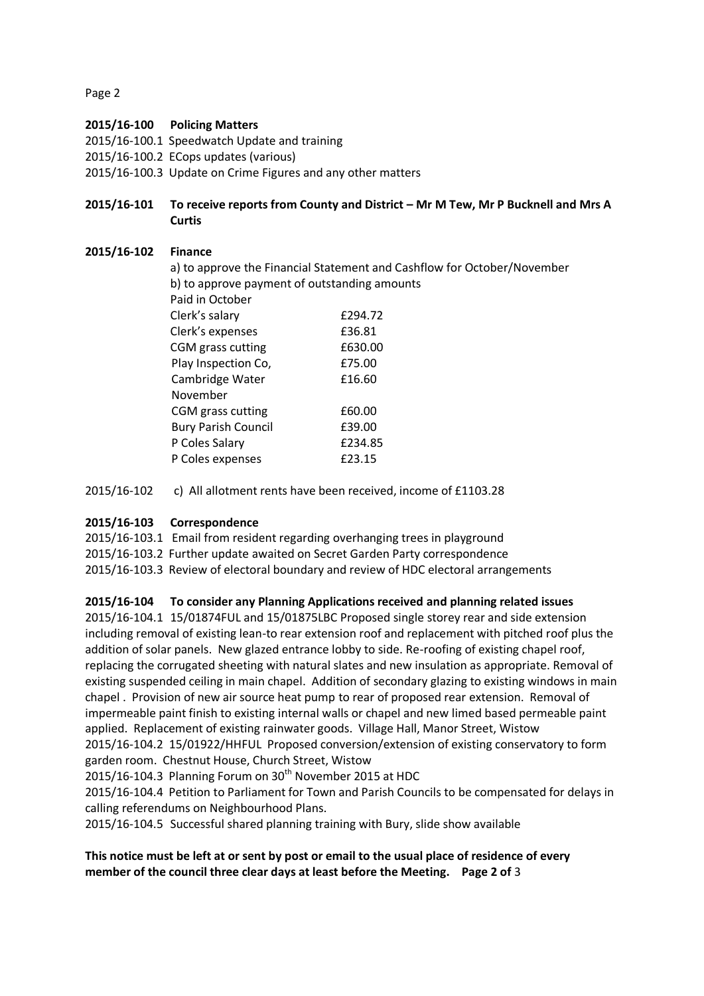Page 2

## **2015/16-100 Policing Matters**

2015/16-100.1 Speedwatch Update and training

- 2015/16-100.2 ECops updates (various)
- 2015/16-100.3 Update on Crime Figures and any other matters

**2015/16-101 To receive reports from County and District – Mr M Tew, Mr P Bucknell and Mrs A Curtis**

## **2015/16-102 Finance**

a) to approve the Financial Statement and Cashflow for October/November b) to approve payment of outstanding amounts Paid in October Clerk's salary £294.72 Clerk's expenses 636.81 CGM grass cutting E630.00 Play Inspection Co, 675.00 Cambridge Water **£16.60**  November CGM grass cutting E60.00 Bury Parish Council £39.00 P Coles Salary 6234.85 P Coles expenses 623.15

2015/16-102 c) All allotment rents have been received, income of £1103.28

# **2015/16-103 Correspondence**

2015/16-103.1 Email from resident regarding overhanging trees in playground 2015/16-103.2 Further update awaited on Secret Garden Party correspondence 2015/16-103.3 Review of electoral boundary and review of HDC electoral arrangements

# **2015/16-104 To consider any Planning Applications received and planning related issues**

2015/16-104.1 15/01874FUL and 15/01875LBC Proposed single storey rear and side extension including removal of existing lean-to rear extension roof and replacement with pitched roof plus the addition of solar panels. New glazed entrance lobby to side. Re-roofing of existing chapel roof, replacing the corrugated sheeting with natural slates and new insulation as appropriate. Removal of existing suspended ceiling in main chapel. Addition of secondary glazing to existing windows in main chapel . Provision of new air source heat pump to rear of proposed rear extension. Removal of impermeable paint finish to existing internal walls or chapel and new limed based permeable paint applied. Replacement of existing rainwater goods. Village Hall, Manor Street, Wistow 2015/16-104.2 15/01922/HHFUL Proposed conversion/extension of existing conservatory to form garden room. Chestnut House, Church Street, Wistow

2015/16-104.3 Planning Forum on 30<sup>th</sup> November 2015 at HDC

2015/16-104.4 Petition to Parliament for Town and Parish Councils to be compensated for delays in calling referendums on Neighbourhood Plans.

2015/16-104.5 Successful shared planning training with Bury, slide show available

# **This notice must be left at or sent by post or email to the usual place of residence of every member of the council three clear days at least before the Meeting. Page 2 of** 3